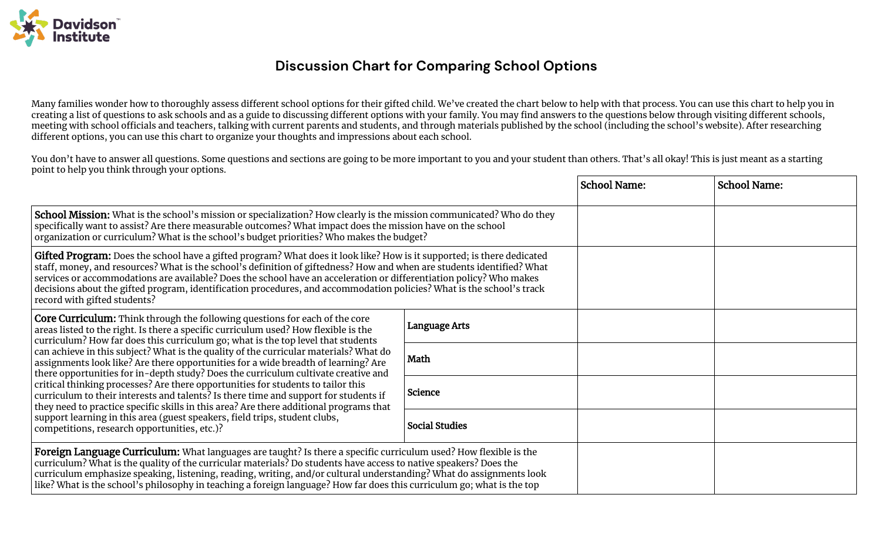

## **Discussion Chart for Comparing School Options**

Many families wonder how to thoroughly assess different school options for their gifted child. We've created the chart below to help with that process. You can use this chart to help you in creating a list of questions to ask schools and as a guide to discussing different options with your family. You may find answers to the questions below through visiting different schools, meeting with school officials and teachers, talking with current parents and students, and through materials published by the school (including the school's website). After researching different options, you can use this chart to organize your thoughts and impressions about each school.

You don't have to answer all questions. Some questions and sections are going to be more important to you and your student than others. That's all okay! This is just meant as a starting point to help you think through your options.

|                                                                                                                                                                                                                                                                                                                                                                                                                                                                                                                                                                                                                                                                                                                                                                                                                                                                                                                                        |                       | <b>School Name:</b> | <b>School Name:</b> |
|----------------------------------------------------------------------------------------------------------------------------------------------------------------------------------------------------------------------------------------------------------------------------------------------------------------------------------------------------------------------------------------------------------------------------------------------------------------------------------------------------------------------------------------------------------------------------------------------------------------------------------------------------------------------------------------------------------------------------------------------------------------------------------------------------------------------------------------------------------------------------------------------------------------------------------------|-----------------------|---------------------|---------------------|
| School Mission: What is the school's mission or specialization? How clearly is the mission communicated? Who do they<br>specifically want to assist? Are there measurable outcomes? What impact does the mission have on the school<br>organization or curriculum? What is the school's budget priorities? Who makes the budget?                                                                                                                                                                                                                                                                                                                                                                                                                                                                                                                                                                                                       |                       |                     |                     |
| Gifted Program: Does the school have a gifted program? What does it look like? How is it supported; is there dedicated<br>staff, money, and resources? What is the school's definition of giftedness? How and when are students identified? What<br>services or accommodations are available? Does the school have an acceleration or differentiation policy? Who makes<br>decisions about the gifted program, identification procedures, and accommodation policies? What is the school's track<br>record with gifted students?                                                                                                                                                                                                                                                                                                                                                                                                       |                       |                     |                     |
| <b>Core Curriculum:</b> Think through the following questions for each of the core<br>areas listed to the right. Is there a specific curriculum used? How flexible is the<br>curriculum? How far does this curriculum go; what is the top level that students<br>can achieve in this subject? What is the quality of the curricular materials? What do<br>assignments look like? Are there opportunities for a wide breadth of learning? Are<br>there opportunities for in-depth study? Does the curriculum cultivate creative and<br>critical thinking processes? Are there opportunities for students to tailor this<br>curriculum to their interests and talents? Is there time and support for students if<br>they need to practice specific skills in this area? Are there additional programs that<br>support learning in this area (guest speakers, field trips, student clubs,<br>competitions, research opportunities, etc.)? | <b>Language Arts</b>  |                     |                     |
|                                                                                                                                                                                                                                                                                                                                                                                                                                                                                                                                                                                                                                                                                                                                                                                                                                                                                                                                        | Math                  |                     |                     |
|                                                                                                                                                                                                                                                                                                                                                                                                                                                                                                                                                                                                                                                                                                                                                                                                                                                                                                                                        | Science               |                     |                     |
|                                                                                                                                                                                                                                                                                                                                                                                                                                                                                                                                                                                                                                                                                                                                                                                                                                                                                                                                        | <b>Social Studies</b> |                     |                     |
| Foreign Language Curriculum: What languages are taught? Is there a specific curriculum used? How flexible is the<br>curriculum? What is the quality of the curricular materials? Do students have access to native speakers? Does the<br>curriculum emphasize speaking, listening, reading, writing, and/or cultural understanding? What do assignments look<br>like? What is the school's philosophy in teaching a foreign language? How far does this curriculum go; what is the top                                                                                                                                                                                                                                                                                                                                                                                                                                                 |                       |                     |                     |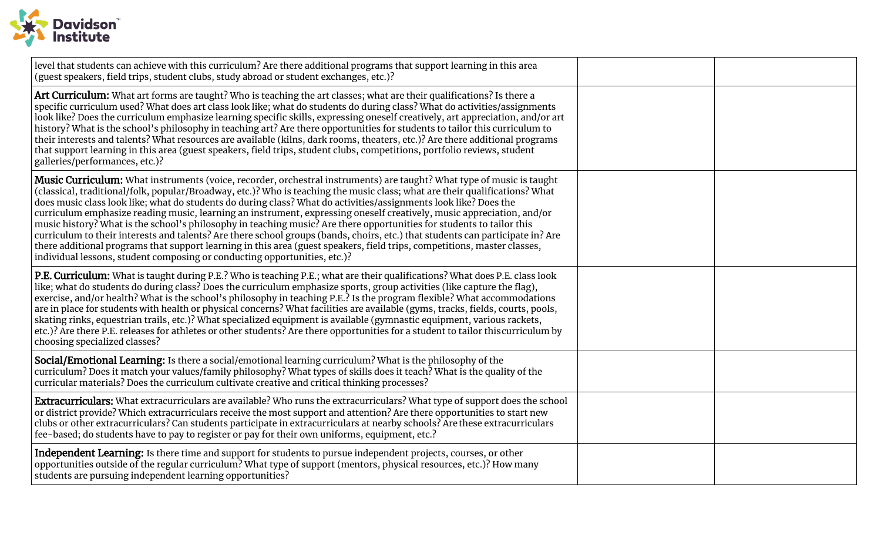

| level that students can achieve with this curriculum? Are there additional programs that support learning in this area<br>(guest speakers, field trips, student clubs, study abroad or student exchanges, etc.)?                                                                                                                                                                                                                                                                                                                                                                                                                                                                                                                                                                                                                                                                                                                                                      |  |
|-----------------------------------------------------------------------------------------------------------------------------------------------------------------------------------------------------------------------------------------------------------------------------------------------------------------------------------------------------------------------------------------------------------------------------------------------------------------------------------------------------------------------------------------------------------------------------------------------------------------------------------------------------------------------------------------------------------------------------------------------------------------------------------------------------------------------------------------------------------------------------------------------------------------------------------------------------------------------|--|
| Art Curriculum: What art forms are taught? Who is teaching the art classes; what are their qualifications? Is there a<br>specific curriculum used? What does art class look like; what do students do during class? What do activities/assignments<br>look like? Does the curriculum emphasize learning specific skills, expressing oneself creatively, art appreciation, and/or art<br>history? What is the school's philosophy in teaching art? Are there opportunities for students to tailor this curriculum to<br>their interests and talents? What resources are available (kilns, dark rooms, theaters, etc.)? Are there additional programs<br>that support learning in this area (guest speakers, field trips, student clubs, competitions, portfolio reviews, student<br>galleries/performances, etc.)?                                                                                                                                                     |  |
| Music Curriculum: What instruments (voice, recorder, orchestral instruments) are taught? What type of music is taught<br>(classical, traditional/folk, popular/Broadway, etc.)? Who is teaching the music class; what are their qualifications? What<br>does music class look like; what do students do during class? What do activities/assignments look like? Does the<br>curriculum emphasize reading music, learning an instrument, expressing oneself creatively, music appreciation, and/or<br>music history? What is the school's philosophy in teaching music? Are there opportunities for students to tailor this<br>curriculum to their interests and talents? Are there school groups (bands, choirs, etc.) that students can participate in? Are<br>there additional programs that support learning in this area (guest speakers, field trips, competitions, master classes,<br>individual lessons, student composing or conducting opportunities, etc.)? |  |
| <b>P.E. Curriculum:</b> What is taught during P.E.? Who is teaching P.E.; what are their qualifications? What does P.E. class look<br>like; what do students do during class? Does the curriculum emphasize sports, group activities (like capture the flag),<br>exercise, and/or health? What is the school's philosophy in teaching P.E.? Is the program flexible? What accommodations<br>are in place for students with health or physical concerns? What facilities are available (gyms, tracks, fields, courts, pools,<br>skating rinks, equestrian trails, etc.)? What specialized equipment is available (gymnastic equipment, various rackets,<br>etc.)? Are there P.E. releases for athletes or other students? Are there opportunities for a student to tailor this curriculum by<br>choosing specialized classes?                                                                                                                                          |  |
| Social/Emotional Learning: Is there a social/emotional learning curriculum? What is the philosophy of the<br>curriculum? Does it match your values/family philosophy? What types of skills does it teach? What is the quality of the<br>curricular materials? Does the curriculum cultivate creative and critical thinking processes?                                                                                                                                                                                                                                                                                                                                                                                                                                                                                                                                                                                                                                 |  |
| <b>Extracurriculars:</b> What extracurriculars are available? Who runs the extracurriculars? What type of support does the school<br>or district provide? Which extracurriculars receive the most support and attention? Are there opportunities to start new<br>clubs or other extracurriculars? Can students participate in extracurriculars at nearby schools? Are these extracurriculars<br>fee-based; do students have to pay to register or pay for their own uniforms, equipment, etc.?                                                                                                                                                                                                                                                                                                                                                                                                                                                                        |  |
| Independent Learning: Is there time and support for students to pursue independent projects, courses, or other<br>opportunities outside of the regular curriculum? What type of support (mentors, physical resources, etc.)? How many<br>students are pursuing independent learning opportunities?                                                                                                                                                                                                                                                                                                                                                                                                                                                                                                                                                                                                                                                                    |  |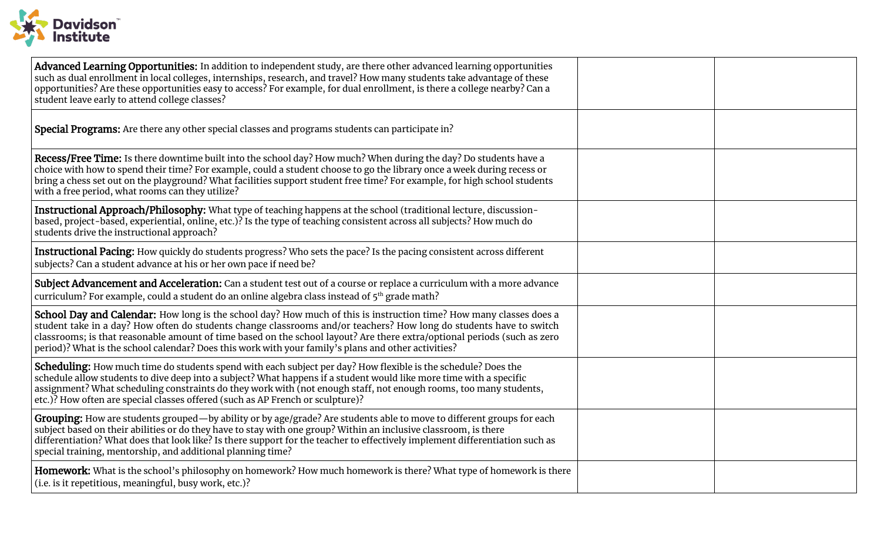

| Advanced Learning Opportunities: In addition to independent study, are there other advanced learning opportunities<br>such as dual enrollment in local colleges, internships, research, and travel? How many students take advantage of these<br>opportunities? Are these opportunities easy to access? For example, for dual enrollment, is there a college nearby? Can a<br>student leave early to attend college classes?                                                 |  |
|------------------------------------------------------------------------------------------------------------------------------------------------------------------------------------------------------------------------------------------------------------------------------------------------------------------------------------------------------------------------------------------------------------------------------------------------------------------------------|--|
| Special Programs: Are there any other special classes and programs students can participate in?                                                                                                                                                                                                                                                                                                                                                                              |  |
| Recess/Free Time: Is there downtime built into the school day? How much? When during the day? Do students have a<br>choice with how to spend their time? For example, could a student choose to go the library once a week during recess or<br>bring a chess set out on the playground? What facilities support student free time? For example, for high school students<br>with a free period, what rooms can they utilize?                                                 |  |
| Instructional Approach/Philosophy: What type of teaching happens at the school (traditional lecture, discussion-<br>based, project-based, experiential, online, etc.)? Is the type of teaching consistent across all subjects? How much do<br>students drive the instructional approach?                                                                                                                                                                                     |  |
| Instructional Pacing: How quickly do students progress? Who sets the pace? Is the pacing consistent across different<br>subjects? Can a student advance at his or her own pace if need be?                                                                                                                                                                                                                                                                                   |  |
| Subject Advancement and Acceleration: Can a student test out of a course or replace a curriculum with a more advance<br>curriculum? For example, could a student do an online algebra class instead of 5 <sup>th</sup> grade math?                                                                                                                                                                                                                                           |  |
| School Day and Calendar: How long is the school day? How much of this is instruction time? How many classes does a<br>student take in a day? How often do students change classrooms and/or teachers? How long do students have to switch<br>classrooms; is that reasonable amount of time based on the school layout? Are there extra/optional periods (such as zero<br>period)? What is the school calendar? Does this work with your family's plans and other activities? |  |
| Scheduling: How much time do students spend with each subject per day? How flexible is the schedule? Does the<br>schedule allow students to dive deep into a subject? What happens if a student would like more time with a specific<br>assignment? What scheduling constraints do they work with (not enough staff, not enough rooms, too many students,<br>etc.)? How often are special classes offered (such as AP French or sculpture)?                                  |  |
| Grouping: How are students grouped—by ability or by age/grade? Are students able to move to different groups for each<br>subject based on their abilities or do they have to stay with one group? Within an inclusive classroom, is there<br>differentiation? What does that look like? Is there support for the teacher to effectively implement differentiation such as<br>special training, mentorship, and additional planning time?                                     |  |
| Homework: What is the school's philosophy on homework? How much homework is there? What type of homework is there<br>(i.e. is it repetitious, meaningful, busy work, etc.)?                                                                                                                                                                                                                                                                                                  |  |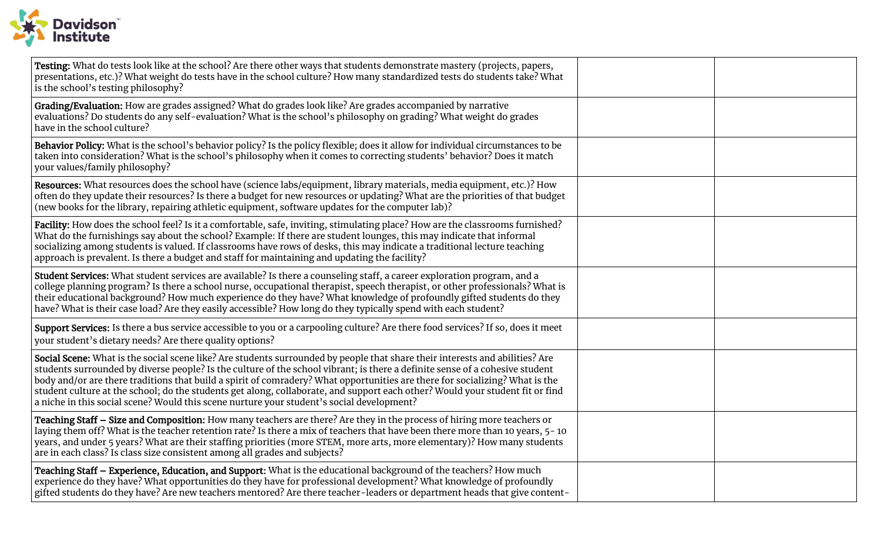

| Testing: What do tests look like at the school? Are there other ways that students demonstrate mastery (projects, papers,<br>presentations, etc.)? What weight do tests have in the school culture? How many standardized tests do students take? What<br>is the school's testing philosophy?                                                                                                                                                                                                                                                                                                                              |  |
|----------------------------------------------------------------------------------------------------------------------------------------------------------------------------------------------------------------------------------------------------------------------------------------------------------------------------------------------------------------------------------------------------------------------------------------------------------------------------------------------------------------------------------------------------------------------------------------------------------------------------|--|
| Grading/Evaluation: How are grades assigned? What do grades look like? Are grades accompanied by narrative<br>evaluations? Do students do any self-evaluation? What is the school's philosophy on grading? What weight do grades<br>have in the school culture?                                                                                                                                                                                                                                                                                                                                                            |  |
| Behavior Policy: What is the school's behavior policy? Is the policy flexible; does it allow for individual circumstances to be<br>taken into consideration? What is the school's philosophy when it comes to correcting students' behavior? Does it match<br>your values/family philosophy?                                                                                                                                                                                                                                                                                                                               |  |
| Resources: What resources does the school have (science labs/equipment, library materials, media equipment, etc.)? How<br>often do they update their resources? Is there a budget for new resources or updating? What are the priorities of that budget<br>(new books for the library, repairing athletic equipment, software updates for the computer lab)?                                                                                                                                                                                                                                                               |  |
| Facility: How does the school feel? Is it a comfortable, safe, inviting, stimulating place? How are the classrooms furnished?<br>What do the furnishings say about the school? Example: If there are student lounges, this may indicate that informal<br>socializing among students is valued. If classrooms have rows of desks, this may indicate a traditional lecture teaching<br>approach is prevalent. Is there a budget and staff for maintaining and updating the facility?                                                                                                                                         |  |
| Student Services: What student services are available? Is there a counseling staff, a career exploration program, and a<br>college planning program? Is there a school nurse, occupational therapist, speech therapist, or other professionals? What is<br>their educational background? How much experience do they have? What knowledge of profoundly gifted students do they<br>have? What is their case load? Are they easily accessible? How long do they typically spend with each student?                                                                                                                          |  |
| Support Services: Is there a bus service accessible to you or a carpooling culture? Are there food services? If so, does it meet<br>your student's dietary needs? Are there quality options?                                                                                                                                                                                                                                                                                                                                                                                                                               |  |
| Social Scene: What is the social scene like? Are students surrounded by people that share their interests and abilities? Are<br>students surrounded by diverse people? Is the culture of the school vibrant; is there a definite sense of a cohesive student<br>body and/or are there traditions that build a spirit of comradery? What opportunities are there for socializing? What is the<br>student culture at the school; do the students get along, collaborate, and support each other? Would your student fit or find<br>a niche in this social scene? Would this scene nurture your student's social development? |  |
| Teaching Staff - Size and Composition: How many teachers are there? Are they in the process of hiring more teachers or<br>laying them off? What is the teacher retention rate? Is there a mix of teachers that have been there more than 10 years, 5-10<br>years, and under 5 years? What are their staffing priorities (more STEM, more arts, more elementary)? How many students<br>are in each class? Is class size consistent among all grades and subjects?                                                                                                                                                           |  |
| Teaching Staff - Experience, Education, and Support: What is the educational background of the teachers? How much<br>experience do they have? What opportunities do they have for professional development? What knowledge of profoundly<br>gifted students do they have? Are new teachers mentored? Are there teacher-leaders or department heads that give content-                                                                                                                                                                                                                                                      |  |